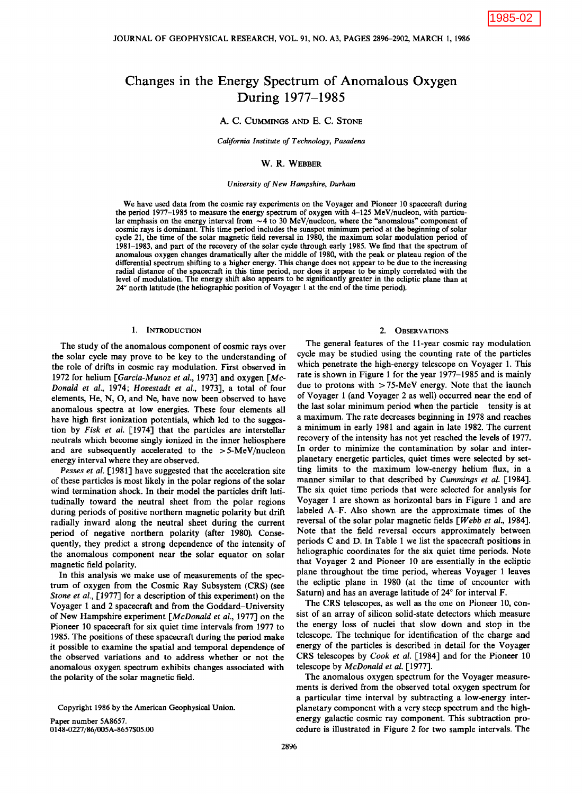# Changes in the Energy Spectrum of Anomalous Oxygen During 1977-1985

## A. C. CUMMINGS AND E. C. STONE

*California Institute of Technology, Pasadena* 

### w. R. WEBBER

#### *University of New Hampshire, Durham*

We have used data from the cosmic ray experiments on the Voyager and Pioneer 10 spacecraft during the period 1977-1985 to measure the energy spectrum of oxygen with 4-125 MeV/nucleon, with particular emphasis on the energy interval from  $\sim$  4 to 30 MeV/nucleon, where the "anomalous" component of cosmic rays is dominant. This time period includes the sunspot minimum period at the beginning of solar cycle 21, the time of the solar magnetic field reversal in 1980, the maximum solar modulation period of 1981-1983, and part of the recovery of the solar cycle through early 1985. We find that the spectrum of anomalous oxygen changes dramatically after the middle of 1980, with the peak or plateau region of the differential spectrum shifting to a higher energy. This change does not appear to be due to the increasing radial distance of the spacecraft in this time period, nor does it appear to be simply correlated with the level of modulation. The energy shift also appears to be significantly greater in the ecliptic plane than at 24° north latitude (the heliographic position of Voyager 1 at the end of the time period).

## 1. INTRODUCTION

The study of the anomalous component of cosmic rays over the solar cycle may prove to be key to the understanding of the role of drifts in cosmic ray modulation. First observed in 1972 for helium *[Garcia-Munoz et al.,* 1973] and oxygen [Mc-*Donald et al.,* 1974; *Hovestadt et al.,* 1973], a total of four elements, He, N, 0, and Ne, have now been observed to have anomalous spectra at low energies. These four elements all have high first ionization potentials, which led to the suggestion by *Fisk et al.* [1974] that the particles are interstellar neutrals which become singly ionized in the inner heliosphere and are subsequently accelerated to the  $> 5$ -MeV/nucleon energy interval where they are observed.

*Pesses et al.* [1981] have suggested that the acceleration site of these particles is most likely in the polar regions of the solar wind termination shock. In their model the particles drift latitudinally toward the neutral sheet from the polar regions during periods of positive northern magnetic polarity but drift radially inward along the neutral sheet during the current period of negative northern polarity (after 1980). Consequently, they predict a strong dependence of the intensity of the anomalous component near the solar equator on solar magnetic field polarity.

In this analysis we make use of measurements of the spectrum of oxygen from the Cosmic Ray Subsystem (CRS) (see *Stone et al.,* [1977] for a description of this experiment) on the Voyager 1 and 2 spacecraft and from the Goddard-University of New Hampshire experiment *[McDonald et al.,* 1977] on the Pioneer 10 spacecraft for six quiet time intervals from 1977 to 1985. The positions of these spacecraft during the period make it possible to examine the spatial and temporal dependence of the observed variations and to address whether or not the anomalous oxygen spectrum exhibits changes associated with the polarity of the solar magnetic field.

Paper number 5A8657. 0148-0227 /86/005A-8657\$05.00

#### 2. OBSERVATIONS

The general features of the 11-year cosmic ray modulation cycle may be studied using the counting rate of the particles which penetrate the high-energy telescope on Voyager 1. This rate is shown in Figure 1 for the year 1977-1985 and is mainly due to protons with  $> 75$ -MeV energy. Note that the launch of Voyager 1 (and Voyager 2 as well) occurred near the end of the last solar minimum period when the particle tensity is at a maximum. The rate decreases beginning in 1978 and reaches a minimum in early 1981 and again in late 1982. The current recovery of the intensity has not yet reached the levels of 1977. In order to minimize the contamination by solar and interplanetary energetic particles, quiet times were selected by setting limits to the maximum low-energy helium flux, in a manner similar to that described by *Cummings et al.* [1984]. The six quiet time periods that were selected for analysis for Voyager 1 are shown as horizontal bars in Figure 1 and are labeled A-F. Also shown are the approximate times of the reversal of the solar polar magnetic fields *[Webb et al.,* 1984]. Note that the field reversal occurs approximately between periods C and D. In Table 1 we list the spacecraft positions in heliographic coordinates for the six quiet time periods. Note that Voyager 2 and Pioneer 10 are essentially in the ecliptic plane throughout the time period, whereas Voyager 1 leaves the ecliptic plane in 1980 (at the time of encounter with Saturn) and has an average latitude of 24° for interval F.

The CRS telescopes, as well as the one on Pioneer 10, consist of an array of silicon solid-state detectors which measure the energy loss of nuclei that slow down and stop in the telescope. The technique for identification of the charge and energy of the particles is described in detail for the Voyager CRS telescopes by *Cook et al.* [1984] and for the Pioneer 10 telescope by *McDonald et al.* [1977].

The anomalous oxygen spectrum for the Voyager measurements is derived from the observed total oxygen spectrum for a particular time interval by subtracting a low-energy interplanetary component with a very steep spectrum and the highenergy galactic cosmic ray component. This subtraction procedure is illustrated in Figure 2 for two sample intervals. The

Copyright 1986 by the American Geophysical Union.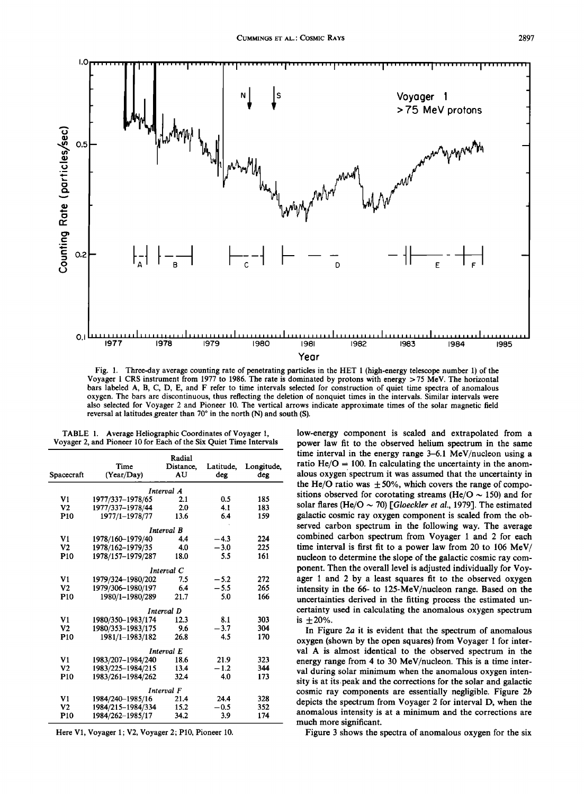

Fig. 1. Three-day average counting rate of penetrating particles in the HET 1 (high-energy telescope number 1) of the Voyager 1 CRS instrument from 1977 to 1986. The rate is dominated by protons with energy >75 MeV. The horizontal bars labeled A, B, C, D, E, and F refer to time intervals selected for construction of quiet time spectra of anomalous oxygen. The bars are discontinuous, thus reflecting the deletion of nonquiet times in the intervals. Similar intervals were also selected for Voyager 2 and Pioneer 10. The vertical arrows indicate approximate times of the solar magnetic field reversal at latitudes greater than  $70^{\circ}$  in the north (N) and south (S).

| TABLE 1. Average Heliographic Coordinates of Voyager 1,            |  |  |  |  |
|--------------------------------------------------------------------|--|--|--|--|
| Voyager 2, and Pioneer 10 for Each of the Six Quiet Time Intervals |  |  |  |  |

| Spacecraft      | Time<br>(Year/Day) | Radial<br>Distance.<br>AU | Latitude,<br>deg | Longitude,<br>deg |
|-----------------|--------------------|---------------------------|------------------|-------------------|
|                 |                    | Interval A                |                  |                   |
| V1              | 1977/337-1978/65   | 2.1                       | 0.5              | 185               |
| V2              | 1977/337-1978/44   | 2.0                       | 4.1              | 183               |
| P <sub>10</sub> | 1977/1-1978/77     | 13.6                      | 6.4              | 159               |
|                 |                    | Interval B                |                  |                   |
| V1              | 1978/160-1979/40   | 4.4                       | $-4.3$           | 224               |
| V <sub>2</sub>  | 1978/162-1979/35   | 4.0                       | $-3.0$           | 225               |
| P <sub>10</sub> | 1978/157-1979/287  | 18.0                      | 5.5              | 161               |
|                 |                    | Interval C                |                  |                   |
| V1              | 1979/324-1980/202  | 7.5                       | $-5.2$           | 272               |
| V <sub>2</sub>  | 1979/306-1980/197  | 6.4                       | $-5.5$           | 265               |
| P <sub>10</sub> | 1980/1-1980/289    | 21.7                      | 5.0              | 166               |
|                 |                    | Interval D                |                  |                   |
| V1              | 1980/350-1983/174  | 12.3                      | 8.1              | 303               |
| V2              | 1980/353-1983/175  | 9.6                       | $-3.7$           | 304               |
| P <sub>10</sub> | 1981/1-1983/182    | 26.8                      | 4.5              | 170               |
|                 |                    | Interval E                |                  |                   |
| V1              | 1983/207-1984/240  | 18.6                      | 21.9             | 323               |
| V <sub>2</sub>  | 1983/225-1984/215  | 13.4                      | $-1.2$           | 344               |
| P <sub>10</sub> | 1983/261-1984/262  | 32.4                      | 4.0              | 173               |
|                 |                    | Interval F                |                  |                   |
| V1              | 1984/240-1985/16   | 21.4                      | 24.4             | 328               |
| V <sub>2</sub>  | 1984/215-1984/334  | 15.2                      | $-0.5$           | 352               |
| P <sub>10</sub> | 1984/262-1985/17   | 34.2                      | 3.9              | 174               |

Here V1, Voyager 1; V2, Voyager 2; P10, Pioneer 10.

low-energy component is scaled and extrapolated from a power law fit to the observed helium spectrum in the same time interval in the energy range 3–6.1 MeV/nucleon using a ratio He/O = 100. In calculating the uncertainty in the anomalous oxygen spectrum it was assumed that the uncertainty in the He/O ratio was  $\pm 50\%$ , which covers the range of compositions observed for corotating streams (He/O  $\sim$  150) and for solar flares (He/O  $\sim$  70) [Gloeckler et al., 1979]. The estimated galactic cosmic ray oxygen component is scaled from the observed carbon spectrum in the following way. The average combined carbon spectrum from Voyager 1 and 2 for each time interval is first fit to a power law from 20 to 106 MeV/ nucleon to determine the slope of the galactic cosmic ray component. Then the overall level is adjusted individually for Voyager 1 and 2 by a least squares fit to the observed oxygen intensity in the 66- to 125-MeV/nucleon range. Based on the uncertainties derived in the fitting process the estimated uncertainty used in calculating the anomalous oxygen spectrum is  $\pm 20\%$ .

In Figure  $2a$  it is evident that the spectrum of anomalous oxygen (shown by the open squares) from Voyager 1 for interval A is almost identical to the observed spectrum in the energy range from 4 to 30 MeV/nucleon. This is a time interval during solar minimum when the anomalous oxygen intensity is at its peak and the corrections for the solar and galactic cosmic ray components are essentially negligible. Figure 2b depicts the spectrum from Voyager 2 for interval D, when the anomalous intensity is at a minimum and the corrections are much more significant.

Figure 3 shows the spectra of anomalous oxygen for the six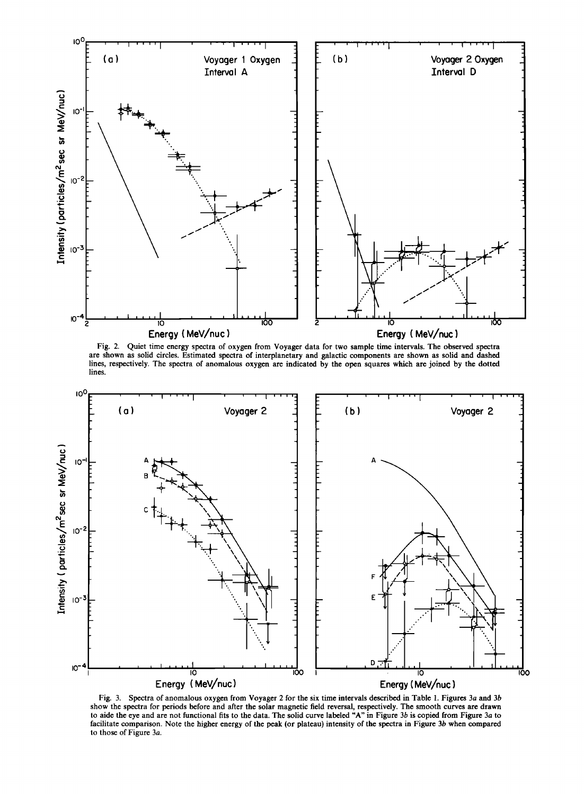

Fig. 2. Quiet time energy spectra of oxygen from Voyager data for two sample time intervals. The observed spectra are shown as solid circles. Estimated spectra of interplanetary and galactic components are shown as solid and dashed lines, respectively. The spectra of anomalous oxygen are indicated by the open squares which are joined by the dotted lines.



Fig. 3. Spectra of anomalous oxygen from Voyager 2 for the six time intervals described in Table 1. Figures 3a and 3b show the spectra for periods before and after the solar magnetic field reversal, respectively. The smooth curves are drawn to aide the eye and are not functional fits to the data. The solid curve labeled "A" in Figure 3b i facilitate comparison. Note the higher energy of the peak (or plateau) intensity of the spectra in Figure 3b when compared to those of Figure 3a.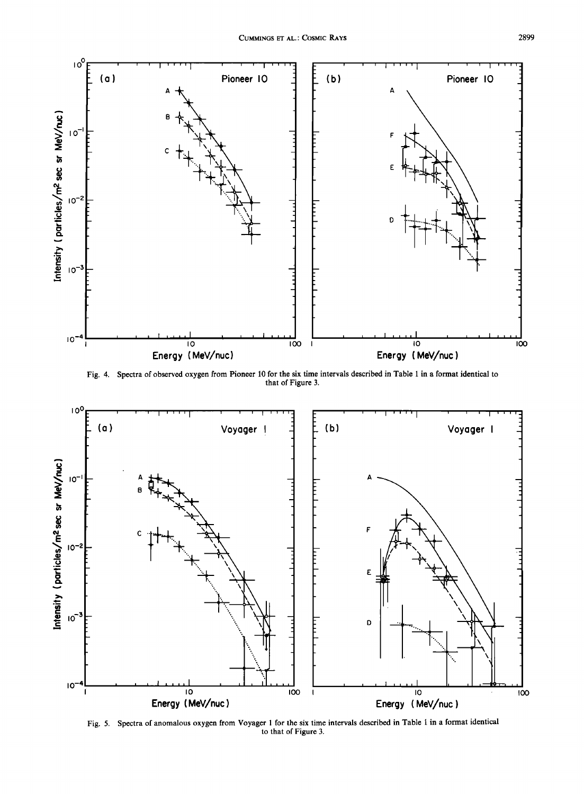

Fig. 4. Spectra of observed oxygen from Pioneer 10 for the six time intervals described in Table 1 in a format identical to that of Figure 3.



Fig. 5. Spectra of anomalous oxygen from Voyager 1 for the six time intervals described in Table 1 in a format identical to that of Figure 3.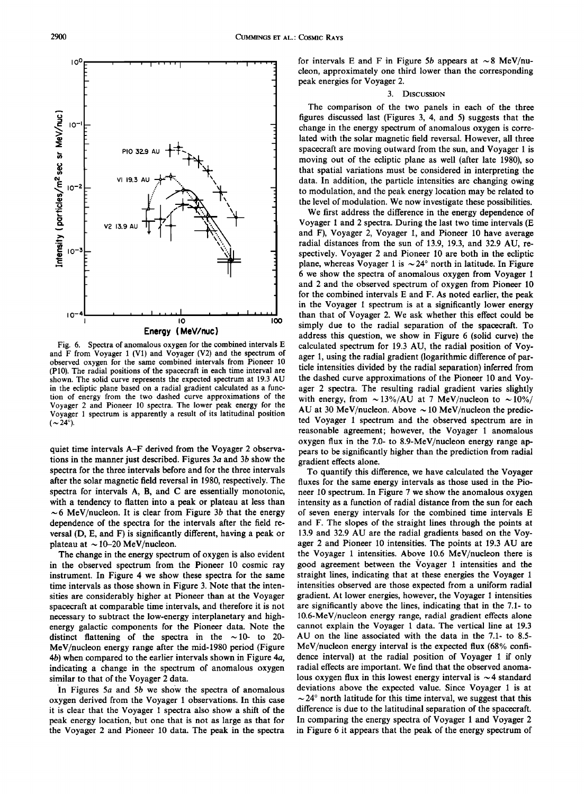

quiet time intervals A-F derived from the Voyager 2 observations in the manner just described. Figures *3a* and *3b* show the spectra for the three intervals before and for the three intervals after the solar magnetic field reversal in 1980, respectively. The spectra for intervals A, B, and C are essentially monotonic, with a tendency to flatten into a peak or plateau at less than  $\sim$  6 MeV/nucleon. It is clear from Figure 3b that the energy dependence of the spectra for the intervals after the field reversal (D, E, and F) is significantly different, having a peak or plateau at  $\sim$  10-20 MeV/nucleon.

The change in the energy spectrum of oxygen is also evident in the observed spectrum from the Pioneer 10 cosmic ray instrument. In Figure 4 we show these spectra for the same time intervals as those shown in Figure 3. Note that the intensities are considerably higher at Pioneer than at the Voyager spacecraft at comparable time intervals, and therefore it is not necessary to subtract the low-energy interplanetary and highenergy galactic components for the Pioneer data. Note the distinct flattening of the spectra in the  $\sim$  10- to 20-MeV/nucleon energy range after the mid-1980 period (Figure 4b) when compared to the earlier intervals shown in Figure *4a,*  indicating a change in the spectrum of anomalous oxygen similar to that of the Voyager 2 data.

In Figures *Sa* and *Sb* we show the spectra of anomalous oxygen derived from the Voyager 1 observations. In this case it is clear that the Voyager 1 spectra also show a shift of the peak energy location, but one that is not as large as that for the Voyager 2 and Pioneer 10 data. The peak in the spectra

for intervals E and F in Figure 5b appears at  $\sim$ 8 MeV/nucleon, approximately one third lower than the corresponding peak energies for Voyager 2.

## 3. DISCUSSION

The comparison of the two panels in each of the three figures discussed last (Figures 3, 4, and S) suggests that the change in the energy spectrum of anomalous oxygen is correlated with the solar magnetic field reversal. However, all three spacecraft are moving outward from the sun, and Voyager 1 is moving out of the ecliptic plane as well (after late 1980), so that spatial variations must be considered in interpreting the data. In addition, the particle intensities are changing owing to modulation, and the peak energy location may be related to the level of modulation. We now investigate these possibilities.

We first address the difference in the energy dependence of Voyager 1 and 2 spectra. During the last two time intervals (E and F), Voyager 2, Voyager 1, and Pioneer 10 have average radial distances from the sun of 13.9, 19.3, and 32.9 AU, respectively. Voyager 2 and Pioneer 10 are both in the ecliptic plane, whereas Voyager 1 is  $\sim 24^{\circ}$  north in latitude. In Figure 6 we show the spectra of anomalous oxygen from Voyager 1 and 2 and the observed spectrum of oxygen from Pioneer 10 for the combined intervals E and F. As noted earlier, the peak in the Voyager 1 spectrum is at a significantly lower energy than that of Voyager 2. We ask whether this effect could be simply due to the radial separation of the spacecraft. To address this question, we show in Figure 6 (solid curve) the calculated spectrum for 19.3 AU, the radial position of Voyager 1, using the radial gradient (logarithmic difference of particle intensities divided by the radial separation) inferred from the dashed curve approximations of the Pioneer 10 and Voyager 2 spectra. The resulting radial gradient varies slightly with energy, from  $\sim$  13%/AU at 7 MeV/nucleon to  $\sim$  10%/ AU at 30 MeV/nucleon. Above  $\sim$  10 MeV/nucleon the predicted Voyager 1 spectrum and the observed spectrum are in reasonable agreement; however, the Voyager 1 anomalous oxygen flux in the 7.0- to 8.9-MeV/nucleon energy range appears to be significantly higher than the prediction from radial gradient effects alone.

To quantify this difference, we have calculated the Voyager fluxes for the same energy intervals as those used in the Pioneer 10 spectrum. In Figure 7 we show the anomalous oxygen intensity as a function of radial distance from the sun for each of seven energy intervals for the combined time intervals E and F. The slopes of the straight lines through the points at 13.9 and 32.9 AU are the radial gradients based on the Voyager 2 and Pioneer 10 intensities. The points at 19.3 AU are the Voyager 1 intensities. Above 10.6 MeV/nucleon there is good agreement between the Voyager 1 intensities and the straight lines, indicating that at these energies the Voyager 1 intensities observed are those expected from a uniform radial gradient. At lower energies, however, the Voyager 1 intensities are significantly above the lines, indicating that in the 7.1- to 10.6-MeV/nucleon energy range, radial gradient effects alone cannot explain the Voyager 1 data. The vertical line at 19.3 AU on the line associated with the data in the 7.1- to 8.S-MeV/nucleon energy interval is the expected flux  $(68\% \text{ confi})$ dence interval) at the radial position of Voyager 1 if only radial effects are important. We find that the observed anomalous oxygen flux in this lowest energy interval is  $\sim$  4 standard deviations above the expected value. Since Voyager 1 is at  $\sim$  24 $\degree$  north latitude for this time interval, we suggest that this difference is due to the latitudinal separation of the spacecraft. In comparing the energy spectra of Voyager 1 and Voyager 2 in Figure 6 it appears that the peak of the energy spectrum of

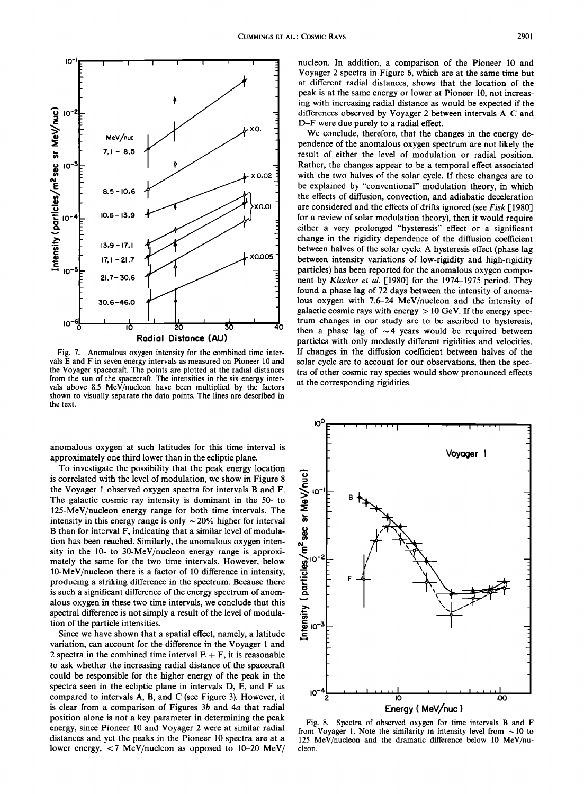

Fig. 7. Anomalous oxygen intensity for the combined time intervals E and F in seven energy intervals as measured on Pioneer 10 and the Voyager spacecraft. The points are plotted at the radial distances from the sun of the spacecraft. The intensities in the six energy intervals above 8.5 MeV/nucleon have been multiplied by the factors shown to visually separate the data points. The lines are described in the text.

anomalous oxygen at such latitudes for this time interval is approximately one third lower than in the ecliptic plane.

To investigate the possibility that the peak energy location is correlated with the level of modulation, we show in Figure 8 the Voyager 1 observed oxygen spectra for intervals Band F. The galactic cosmic ray intensity is dominant in the 50- to 125-MeV/nucleon energy range for both time intervals. The intensity in this energy range is only  $\sim$  20% higher for interval B than for interval F, indicating that a similar level of modulation has been reached. Similarly, the anomalous oxygen intensity in the 10- to 30-MeV/nucleon energy range is approximately the same for the two time intervals. However, below 10-MeV/nucleon there is a factor of 10 difference in intensity, producing a striking difference in the spectrum. Because there is such a significant difference of the energy spectrum of anomalous oxygen in these two time intervals, we conclude that this spectral difference is not simply a result of the level of modulation of the particle intensities.

Since we have shown that a spatial effect, namely, a latitude variation, can account for the difference in the Voyager 1 and 2 spectra in the combined time interval  $E + F$ , it is reasonable to ask whether the increasing radial distance of the spacecraft could be responsible for the higher energy of the peak in the spectra seen in the ecliptic plane in intervals D, E, and F as compared to intervals A, B, and C (see Figure 3). However, it is clear from a comparison of Figures 3b and *4a* that radial position alone is not a key parameter in determining the peak energy, since Pioneer 10 and Voyager 2 were at similar radial distances and yet the peaks in the Pioneer 10 spectra are at a lower energy,  $<$ 7 MeV/nucleon as opposed to 10-20 MeV/

nucleon. In addition, a comparison of the Pioneer 10 and Voyager 2 spectra in Figure 6, which are at the same time but at different radial distances, shows that the location of the peak is at the same energy or lower at Pioneer 10, not increasing with increasing radial distance as would be expected if the differences observed by Voyager 2 between intervals A-C and D-F were due purely to a radial effect.

We conclude, therefore, that the changes in the energy dependence of the anomalous oxygen spectrum are not likely the result of either the level of modulation or radial position. Rather, the changes appear to be a temporal effect associated with the two halves of the solar cycle. If these changes are to be explained by "conventional" modulation theory, in which the effects of diffusion, convection, and adiabatic deceleration are considered and the effects of drifts ignored (see *Fisk* [1980] for a review of solar modulation theory), then it would require either a very prolonged "hysteresis" effect or a significant change in the rigidity dependence of the diffusion coefficient between halves of the solar cycle. A hysteresis effect (phase lag between intensity variations of low-rigidity and high-rigidity particles) has been reported for the anomalous oxygen component by *Klecker et al.* [1980] for the 1974-1975 period. They found a phase lag of 72 days between the intensity of anomalous oxygen with 7.6-24 MeV/nucleon and the intensity of galactic cosmic rays with energy  $> 10$  GeV. If the energy spectrum changes in our study are to be ascribed to hysteresis, then a phase lag of  $\sim$  4 years would be required between particles with only modestly different rigidities and velocities. If changes in the diffusion coefficient between halves of the solar cycle are to account for our observations, then the spectra of other cosmic ray species would show pronounced effects at the corresponding rigidities.



Fig. 8. Spectra of observed oxygen for time intervals B and F from Voyager 1. Note the similarity in intensity level from  $\sim$  10 to 125 MeV/nucleon and the dramatic difference below 10 MeV/nucleon.